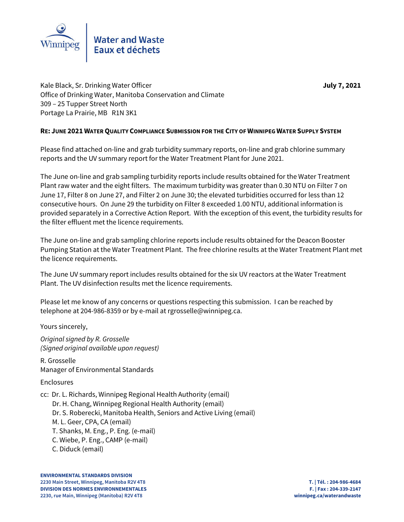

Kale Black, Sr. Drinking Water Officer **July 7, 2021** Office of Drinking Water, Manitoba Conservation and Climate 309 – 25 Tupper Street North Portage La Prairie, MB R1N 3K1

### **RE: JUNE 2021 WATER QUALITY COMPLIANCE SUBMISSION FOR THE CITY OF WINNIPEG WATER SUPPLY SYSTEM**

Please find attached on-line and grab turbidity summary reports, on-line and grab chlorine summary reports and the UV summary report for the Water Treatment Plant for June 2021.

The June on-line and grab sampling turbidity reports include results obtained for the Water Treatment Plant raw water and the eight filters. The maximum turbidity was greater than 0.30 NTU on Filter 7 on June 17, Filter 8 on June 27, and Filter 2 on June 30; the elevated turbidities occurred for less than 12 consecutive hours. On June 29 the turbidity on Filter 8 exceeded 1.00 NTU, additional information is provided separately in a Corrective Action Report. With the exception of this event, the turbidity results for the filter effluent met the licence requirements.

The June on-line and grab sampling chlorine reports include results obtained for the Deacon Booster Pumping Station at the Water Treatment Plant. The free chlorine results at the Water Treatment Plant met the licence requirements.

The June UV summary report includes results obtained for the six UV reactors at the Water Treatment Plant. The UV disinfection results met the licence requirements.

Please let me know of any concerns or questions respecting this submission. I can be reached by telephone at 204-986-8359 or by e-mail at rgrosselle@winnipeg.ca.

Yours sincerely,

*Original signed by R. Grosselle (Signed original available upon request)*

R. Grosselle Manager of Environmental Standards

Enclosures

cc: Dr. L. Richards, Winnipeg Regional Health Authority (email) Dr. H. Chang, Winnipeg Regional Health Authority (email) Dr. S. Roberecki, Manitoba Health, Seniors and Active Living (email) M. L. Geer, CPA, CA (email) T. Shanks, M. Eng., P. Eng. (e-mail) C. Wiebe, P. Eng., CAMP (e-mail) C. Diduck (email)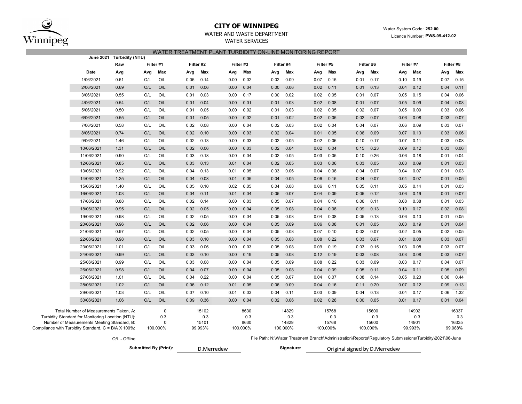

# **CITY OF WINNIPEG** WATER WATER WATER System Code: 252.00

WATER AND WASTE DEPARTMENT **EXAMPLE 2018** Mater of State 1996 Mater 2018. EXAMPLE 2021

### WATER SERVICES

|--|

|                                                     |                                                                                             |                       |     |             |      | בול התכונות בולד הסווים ומוסדים והשוטותים של היה בהולד השירות וב |      |           |                                                                                                           |          |      |                               |      |          |                        |         |      |           |  |  |
|-----------------------------------------------------|---------------------------------------------------------------------------------------------|-----------------------|-----|-------------|------|------------------------------------------------------------------|------|-----------|-----------------------------------------------------------------------------------------------------------|----------|------|-------------------------------|------|----------|------------------------|---------|------|-----------|--|--|
|                                                     |                                                                                             | Raw                   |     | Filter #1   |      | Filter #2                                                        |      | Filter #3 | Filter #4                                                                                                 |          |      | Filter #5                     |      |          | Filter #6<br>Filter #7 |         |      | Filter #8 |  |  |
|                                                     | Date                                                                                        | Avg                   | Avg | Max         | Avg  | Max                                                              | Avg  | Max       | Avg                                                                                                       | Max      | Avg  | Max                           | Avg  | Max      | Avg                    | Max     | Avg  | Max       |  |  |
|                                                     | 1/06/2021                                                                                   | 0.61                  | O/L | O/L         | 0.06 | 0.14                                                             | 0.00 | 0.02      | 0.02                                                                                                      | 0.09     | 0.07 | 0.15                          | 0.01 | 0.17     | 0.10                   | 0.19    | 0.07 | 0.15      |  |  |
|                                                     | 2/06/2021                                                                                   | 0.69                  | O/L | O/L         | 0.01 | 0.06                                                             | 0.00 | 0.04      | 0.00                                                                                                      | 0.06     | 0.02 | 0.11                          | 0.01 | 0.13     | 0.04                   | 0.12    | 0.04 | 0.11      |  |  |
|                                                     | 3/06/2021                                                                                   | 0.55                  | O/L | O/L         | 0.01 | 0.03                                                             | 0.00 | 0.17      | 0.00                                                                                                      | 0.02     | 0.02 | 0.05                          | 0.01 | 0.07     | 0.05                   | 0.15    | 0.04 | 0.06      |  |  |
|                                                     | 4/06/2021                                                                                   | 0.54                  | O/L | O/L         | 0.01 | 0.04                                                             | 0.00 | 0.01      | 0.01                                                                                                      | 0.03     | 0.02 | 0.08                          | 0.01 | 0.07     | 0.05                   | 0.09    | 0.04 | 0.08      |  |  |
|                                                     | 5/06/2021                                                                                   | 0.50                  | O/L | O/L         | 0.01 | 0.05                                                             | 0.00 | 0.02      | 0.01                                                                                                      | 0.03     | 0.02 | 0.05                          | 0.02 | 0.07     | 0.05                   | 0.09    | 0.03 | 0.06      |  |  |
|                                                     | 6/06/2021                                                                                   | 0.55                  | O/L | O/L         | 0.01 | 0.05                                                             | 0.00 | 0.02      | 0.01                                                                                                      | 0.02     | 0.02 | 0.05                          | 0.02 | 0.07     | 0.06                   | 0.08    | 0.03 | 0.07      |  |  |
|                                                     | 7/06/2021                                                                                   | 0.58                  | O/L | O/L         | 0.02 | 0.08                                                             | 0.00 | 0.04      | 0.02                                                                                                      | 0.03     | 0.02 | 0.04                          | 0.04 | 0.07     | 0.06                   | 0.09    | 0.03 | 0.07      |  |  |
|                                                     | 8/06/2021                                                                                   | 0.74                  | O/L | O/L         | 0.02 | 0.10                                                             | 0.00 | 0.03      | 0.02                                                                                                      | 0.04     | 0.01 | 0.05                          | 0.06 | 0.09     | 0.07                   | 0.10    | 0.03 | 0.06      |  |  |
|                                                     | 9/06/2021                                                                                   | 1.46                  | O/L | O/L         | 0.02 | 0.13                                                             | 0.00 | 0.03      | 0.02                                                                                                      | 0.05     | 0.02 | 0.06                          | 0.10 | 0.17     | 0.07                   | 0.11    | 0.03 | 0.08      |  |  |
|                                                     | 10/06/2021                                                                                  | 1.31                  | O/L | O/L         | 0.02 | 0.06                                                             | 0.00 | 0.03      | 0.02                                                                                                      | 0.04     | 0.02 | 0.04                          | 0.15 | 0.23     | 0.09                   | 0.12    | 0.03 | 0.06      |  |  |
| 11/06/2021<br>0.90                                  |                                                                                             | O/L                   | O/L | 0.03        | 0.18 | 0.00                                                             | 0.04 | 0.02      | 0.05                                                                                                      | 0.03     | 0.05 | 0.10                          | 0.26 | 0.06     | 0.18                   | 0.01    | 0.04 |           |  |  |
|                                                     | 12/06/2021                                                                                  | 0.85                  | O/L | O/L         | 0.03 | 0.13                                                             | 0.01 | 0.04      | 0.02                                                                                                      | 0.05     | 0.03 | 0.06                          | 0.03 | 0.05     | 0.03                   | 0.09    | 0.01 | 0.03      |  |  |
|                                                     | 13/06/2021                                                                                  | 0.92                  | O/L | O/L         | 0.04 | 0.13                                                             | 0.01 | 0.05      | 0.03                                                                                                      | 0.06     | 0.04 | 0.08                          | 0.04 | 0.07     | 0.04                   | 0.07    | 0.01 | 0.03      |  |  |
|                                                     | 14/06/2021                                                                                  | 1.25                  | O/L | O/L         | 0.04 | 0.08                                                             | 0.01 | 0.05      | 0.04                                                                                                      | 0.05     | 0.06 | 0.15                          | 0.04 | 0.07     | 0.04                   | 0.07    | 0.01 | 0.05      |  |  |
|                                                     | 15/06/2021                                                                                  | 1.40                  | O/L | O/L         | 0.05 | 0.10                                                             | 0.02 | 0.05      | 0.04                                                                                                      | 0.08     | 0.06 | 0.11                          | 0.05 | 0.11     | 0.05                   | 0.14    | 0.01 | 0.03      |  |  |
|                                                     | 16/06/2021                                                                                  | 1.03                  | O/L | O/L         | 0.04 | 0.11                                                             | 0.01 | 0.04      | 0.05                                                                                                      | 0.07     | 0.04 | 0.09                          | 0.05 | 0.12     | 0.06                   | 0.19    | 0.01 | 0.07      |  |  |
|                                                     | 17/06/2021                                                                                  | 0.88                  | O/L | O/L         | 0.02 | 0.14                                                             | 0.00 | 0.03      | 0.05                                                                                                      | 0.07     | 0.04 | 0.10                          | 0.06 | 0.11     | 0.08                   | 0.38    | 0.01 | 0.03      |  |  |
|                                                     | 18/06/2021                                                                                  | 0.95                  | O/L | O/L         | 0.02 | 0.05                                                             | 0.00 | 0.04      | 0.05                                                                                                      | 0.08     | 0.04 | 0.08                          | 0.09 | 0.13     | 0.10                   | 0.17    | 0.02 | 0.08      |  |  |
|                                                     | 19/06/2021                                                                                  | 0.98                  | O/L | O/L         | 0.02 | 0.05                                                             | 0.00 | 0.04      | 0.05                                                                                                      | 0.08     | 0.04 | 0.08                          | 0.05 | 0.13     | 0.06                   | 0.13    | 0.01 | 0.05      |  |  |
|                                                     | 20/06/2021                                                                                  | 0.96                  | O/L | O/L         | 0.02 | 0.06                                                             | 0.00 | 0.04      | 0.05                                                                                                      | 0.09     | 0.06 | 0.08                          | 0.01 | 0.05     | 0.03                   | 0.19    | 0.01 | 0.04      |  |  |
|                                                     | 21/06/2021                                                                                  | 0.97                  | O/L | O/L         | 0.02 | 0.05                                                             | 0.00 | 0.04      | 0.05                                                                                                      | 0.08     | 0.07 | 0.10                          | 0.02 | 0.07     | 0.02                   | 0.05    | 0.02 | 0.05      |  |  |
|                                                     | 22/06/2021                                                                                  | 0.98                  | O/L | O/L         | 0.03 | 0.10                                                             | 0.00 | 0.04      | 0.05                                                                                                      | 0.08     | 0.08 | 0.22                          | 0.03 | 0.07     | 0.01                   | 0.08    | 0.03 | 0.07      |  |  |
|                                                     | 23/06/2021                                                                                  | 1.01                  | O/L | O/L         | 0.03 | 0.06                                                             | 0.00 | 0.03      | 0.05                                                                                                      | 0.08     | 0.09 | 0.19                          | 0.03 | 0.15     | 0.03                   | 0.08    | 0.03 | 0.07      |  |  |
|                                                     | 24/06/2021                                                                                  | 0.99                  | O/L | O/L         | 0.03 | 0.10                                                             | 0.00 | 0.19      | 0.05                                                                                                      | 0.08     | 0.12 | 0.19                          | 0.03 | 0.08     | 0.03                   | 0.08    | 0.03 | 0.07      |  |  |
|                                                     | 25/06/2021                                                                                  | 0.99                  | O/L | O/L         | 0.03 | 0.08                                                             | 0.00 | 0.04      | 0.05                                                                                                      | 0.09     | 0.08 | 0.22                          | 0.03 | 0.09     | 0.03                   | 0.17    | 0.04 | 0.07      |  |  |
|                                                     | 26/06/2021                                                                                  | 0.98                  | O/L | O/L         | 0.04 | 0.07                                                             | 0.00 | 0.04      | 0.05                                                                                                      | 0.08     | 0.04 | 0.09                          | 0.05 | 0.11     | 0.04                   | 0.11    | 0.05 | 0.09      |  |  |
|                                                     | 27/06/2021                                                                                  | 1.01                  | O/L | O/L         | 0.04 | 0.22                                                             | 0.00 | 0.04      | 0.05                                                                                                      | 0.07     | 0.04 | 0.07                          | 0.08 | 0.14     | 0.05                   | 0.23    | 0.06 | 0.44      |  |  |
|                                                     | 28/06/2021                                                                                  | 1.02                  | O/L | O/L         | 0.06 | 0.12                                                             | 0.01 | 0.05      | 0.06                                                                                                      | 0.09     | 0.04 | 0.16                          | 0.11 | 0.20     | 0.07                   | 0.12    | 0.09 | 0.13      |  |  |
|                                                     | 29/06/2021                                                                                  | 1.03                  | O/L | O/L         | 0.07 | 0.10                                                             | 0.01 | 0.03      | 0.04                                                                                                      | 0.11     | 0.03 | 0.09                          | 0.04 | 0.13     | 0.04                   | 0.17    | 0.06 | 1.32      |  |  |
|                                                     | 30/06/2021                                                                                  | 1.06                  | O/L | O/L         | 0.09 | 0.36                                                             | 0.00 | 0.04      | 0.02                                                                                                      | 0.06     | 0.02 | 0.28                          | 0.00 | 0.05     | 0.01                   | 0.17    | 0.01 | 0.04      |  |  |
|                                                     |                                                                                             |                       |     | $\mathbf 0$ |      | 15102                                                            |      | 8630      |                                                                                                           | 14829    |      | 15768                         |      | 15600    |                        | 14902   |      | 16337     |  |  |
|                                                     | Total Number of Measurements Taken, A:<br>Turbidity Standard for Monitoring Location (NTU): |                       |     | 0.3         |      | 0.3                                                              |      | 0.3       |                                                                                                           | 0.3      |      | 0.3                           |      | 0.3      | 0.3                    |         | 0.3  |           |  |  |
|                                                     | Number of Measurements Meeting Standard, B:                                                 |                       |     | $\Omega$    |      | 15101                                                            |      | 8630      |                                                                                                           | 14829    |      | 15768                         |      | 15600    |                        | 14901   |      | 16335     |  |  |
| Compliance with Turbidity Standard, C = B/A X 100%: |                                                                                             |                       |     | 100.000%    |      | 99.993%                                                          |      | 100.000%  |                                                                                                           | 100.000% |      | 100.000%                      |      | 100.000% |                        | 99.993% |      | 99.988%   |  |  |
|                                                     |                                                                                             | O/L - Offline         |     |             |      |                                                                  |      |           | File Path: N:\Water Treatment Branch\Administration\Reports\Regulatory Submissions\Turbidity\2021\06-June |          |      |                               |      |          |                        |         |      |           |  |  |
|                                                     |                                                                                             | Submitted By (Print): |     |             |      | D.Merredew                                                       |      |           | Signature:                                                                                                |          |      | Original signed by D.Merredew |      |          |                        |         |      |           |  |  |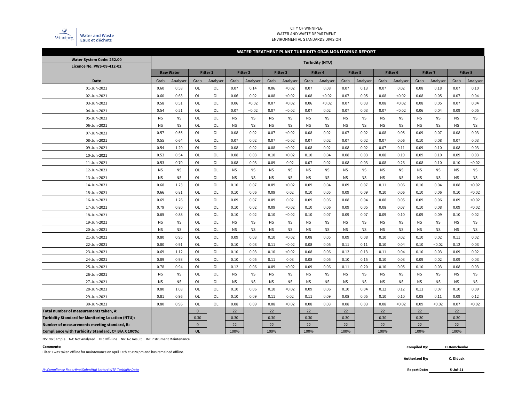

#### CITY OF WINNIPEG WATER AND WASTE DEPARTMENT ENVIRONMENTAL STANDARDS DIVISION

#### **WATER TREATMENT PLANT TURBIDITY GRAB MONITORING REPORT**

| Water System Code: 252.00                                |           |                  |              |           |           |                 |           |                     |           | <b>Turbidity (NTU)</b> |           |                 |           |                     |           |                 |           |                 |
|----------------------------------------------------------|-----------|------------------|--------------|-----------|-----------|-----------------|-----------|---------------------|-----------|------------------------|-----------|-----------------|-----------|---------------------|-----------|-----------------|-----------|-----------------|
| <b>Licence No. PWS-09-412-02</b>                         |           |                  |              |           |           |                 |           |                     |           |                        |           |                 |           |                     |           |                 |           |                 |
|                                                          |           | <b>Raw Water</b> |              | Filter 1  |           | <b>Filter 2</b> |           | Filter <sub>3</sub> |           | <b>Filter 4</b>        |           | <b>Filter 5</b> |           | Filter <sub>6</sub> |           | <b>Filter 7</b> |           | <b>Filter 8</b> |
| Date                                                     | Grab      | Analyser         | Grab         | Analyser  | Grab      | Analyser        | Grab      | Analyser            | Grab      | Analyser               | Grab      | Analyser        | Grab      | Analyser            | Grab      | Analyser        | Grab      | Analyser        |
| 01-Jun-2021                                              | 0.60      | 0.58             | OL           | OL        | 0.07      | 0.14            | 0.06      | < 0.02              | 0.07      | 0.08                   | 0.07      | 0.13            | 0.07      | 0.02                | 0.08      | 0.18            | 0.07      | 0.10            |
| 02-Jun-2021                                              | 0.60      | 0.63             | OL           | OL        | 0.06      | 0.02            | 0.08      | < 0.02              | 0.08      | < 0.02                 | 0.07      | 0.05            | 0.08      | < 0.02              | 0.08      | 0.05            | 0.07      | 0.04            |
| 03-Jun-2021                                              | 0.58      | 0.51             | OL           | OL        | 0.06      | < 0.02          | 0.07      | < 0.02              | 0.06      | < 0.02                 | 0.07      | 0.03            | 0.08      | < 0.02              | 0.08      | 0.05            | 0.07      | 0.04            |
| 04-Jun-2021                                              | 0.54      | 0.51             | OL           | OL        | 0.07      | < 0.02          | 0.07      | < 0.02              | 0.07      | 0.02                   | 0.07      | 0.03            | 0.07      | < 0.02              | 0.06      | 0.04            | 0.09      | 0.05            |
| 05-Jun-2021                                              | <b>NS</b> | <b>NS</b>        | OL           | OL        | <b>NS</b> | <b>NS</b>       | <b>NS</b> | <b>NS</b>           | <b>NS</b> | <b>NS</b>              | <b>NS</b> | <b>NS</b>       | <b>NS</b> | <b>NS</b>           | <b>NS</b> | <b>NS</b>       | <b>NS</b> | <b>NS</b>       |
| 06-Jun-2021                                              | <b>NS</b> | <b>NS</b>        | OL           | OL        | <b>NS</b> | <b>NS</b>       | <b>NS</b> | <b>NS</b>           | <b>NS</b> | <b>NS</b>              | <b>NS</b> | <b>NS</b>       | <b>NS</b> | <b>NS</b>           | <b>NS</b> | <b>NS</b>       | <b>NS</b> | <b>NS</b>       |
| 07-Jun-2021                                              | 0.57      | 0.55             | OL           | OL        | 0.08      | 0.02            | 0.07      | < 0.02              | 0.08      | 0.02                   | 0.07      | 0.02            | 0.08      | 0.05                | 0.09      | 0.07            | 0.08      | 0.03            |
| 08-Jun-2021                                              | 0.55      | 0.64             | OL           | <b>OL</b> | 0.07      | 0.02            | 0.07      | < 0.02              | 0.07      | 0.02                   | 0.07      | 0.02            | 0.07      | 0.06                | 0.10      | 0.08            | 0.07      | 0.03            |
| 09-Jun-2021                                              | 0.54      | 1.20             | OL           | <b>OL</b> | 0.08      | 0.02            | 0.08      | < 0.02              | 0.08      | 0.02                   | 0.08      | 0.02            | 0.07      | 0.11                | 0.09      | 0.10            | 0.08      | 0.03            |
| 10-Jun-2021                                              | 0.53      | 0.54             | OL           | OL        | 0.08      | 0.03            | 0.10      | < 0.02              | 0.10      | 0.04                   | 0.08      | 0.03            | 0.08      | 0.19                | 0.09      | 0.10            | 0.09      | 0.03            |
| 11-Jun-2021                                              | 0.53      | 0.70             | OL           | OL        | 0.08      | 0.03            | 0.09      | 0.02                | 0.07      | 0.02                   | 0.08      | 0.03            | 0.08      | 0.26                | 0.08      | 0.10            | 0.10      | < 0.02          |
| 12-Jun-2021                                              | <b>NS</b> | <b>NS</b>        | OL           | <b>OL</b> | <b>NS</b> | <b>NS</b>       | <b>NS</b> | <b>NS</b>           | <b>NS</b> | <b>NS</b>              | <b>NS</b> | <b>NS</b>       | <b>NS</b> | <b>NS</b>           | <b>NS</b> | <b>NS</b>       | <b>NS</b> | <b>NS</b>       |
| 13-Jun-2021                                              | <b>NS</b> | <b>NS</b>        | OL           | OL        | <b>NS</b> | <b>NS</b>       | <b>NS</b> | <b>NS</b>           | <b>NS</b> | <b>NS</b>              | <b>NS</b> | <b>NS</b>       | <b>NS</b> | <b>NS</b>           | <b>NS</b> | <b>NS</b>       | <b>NS</b> | <b>NS</b>       |
| 14-Jun-2021                                              | 0.68      | 1.23             | OL           | OL        | 0.10      | 0.07            | 0.09      | < 0.02              | 0.09      | 0.04                   | 0.09      | 0.07            | 0.11      | 0.06                | 0.10      | 0.04            | 0.08      | < 0.02          |
| 15-Jun-2021                                              | 0.66      | 0.81             | OL           | OL        | 0.10      | 0.06            | 0.09      | 0.02                | 0.10      | 0.05                   | 0.09      | 0.09            | 0.10      | 0.06                | 0.10      | 0.06            | 0.10      | < 0.02          |
| 16-Jun-2021                                              | 0.69      | 1.26             | OL           | OL        | 0.09      | 0.07            | 0.09      | 0.02                | 0.09      | 0.06                   | 0.08      | 0.04            | 0.08      | 0.05                | 0.09      | 0.06            | 0.09      | < 0.02          |
| 17-Jun-2021                                              | 0.79      | 0.80             | OL           | OL        | 0.10      | 0.02            | 0.09      | < 0.02              | 0.10      | 0.06                   | 0.09      | 0.05            | 0.08      | 0.07                | 0.10      | 0.08            | 0.09      | < 0.02          |
| 18-Jun-2021                                              | 0.65      | 0.88             | OL           | OL        | 0.10      | 0.02            | 0.10      | < 0.02              | 0.10      | 0.07                   | 0.09      | 0.07            | 0.09      | 0.10                | 0.09      | 0.09            | 0.10      | 0.02            |
| 19-Jun-2021                                              | <b>NS</b> | <b>NS</b>        | OL           | OL        | <b>NS</b> | <b>NS</b>       | <b>NS</b> | <b>NS</b>           | <b>NS</b> | <b>NS</b>              | <b>NS</b> | <b>NS</b>       | <b>NS</b> | <b>NS</b>           | <b>NS</b> | <b>NS</b>       | <b>NS</b> | <b>NS</b>       |
| 20-Jun-2021                                              | <b>NS</b> | <b>NS</b>        | OL           | OL        | <b>NS</b> | <b>NS</b>       | <b>NS</b> | <b>NS</b>           | <b>NS</b> | <b>NS</b>              | <b>NS</b> | <b>NS</b>       | <b>NS</b> | <b>NS</b>           | <b>NS</b> | <b>NS</b>       | <b>NS</b> | <b>NS</b>       |
| 21-Jun-2021                                              | 0.80      | 0.95             | OL           | OL        | 0.09      | 0.03            | 0.10      | < 0.02              | 0.08      | 0.05                   | 0.09      | 0.08            | 0.10      | 0.02                | 0.10      | 0.02            | 0.11      | 0.02            |
| 22-Jun-2021                                              | 0.80      | 0.91             | OL           | OL        | 0.10      | 0.03            | 0.11      | < 0.02              | 0.08      | 0.05                   | 0.11      | 0.11            | 0.10      | 0.04                | 0.10      | < 0.02          | 0.12      | 0.03            |
| 23-Jun-2021                                              | 0.69      | 1.12             | OL           | OL        | 0.10      | 0.03            | 0.10      | < 0.02              | 0.08      | 0.06                   | 0.12      | 0.13            | 0.11      | 0.04                | 0.10      | 0.03            | 0.09      | 0.02            |
| 24-Jun-2021                                              | 0.89      | 0.93             | OL           | OL        | 0.10      | 0.05            | 0.11      | 0.03                | 0.08      | 0.05                   | 0.10      | 0.15            | 0.10      | 0.03                | 0.09      | 0.02            | 0.09      | 0.03            |
| 25-Jun-2021                                              | 0.78      | 0.94             | OL           | OL        | 0.12      | 0.06            | 0.09      | < 0.02              | 0.09      | 0.06                   | 0.11      | 0.20            | 0.10      | 0.05                | 0.10      | 0.03            | 0.08      | 0.03            |
| 26-Jun-2021                                              | <b>NS</b> | <b>NS</b>        | OL           | <b>OL</b> | <b>NS</b> | <b>NS</b>       | <b>NS</b> | <b>NS</b>           | <b>NS</b> | <b>NS</b>              | <b>NS</b> | <b>NS</b>       | <b>NS</b> | <b>NS</b>           | <b>NS</b> | <b>NS</b>       | <b>NS</b> | <b>NS</b>       |
| 27-Jun-2021                                              | <b>NS</b> | <b>NS</b>        | OL           | <b>OL</b> | <b>NS</b> | <b>NS</b>       | <b>NS</b> | <b>NS</b>           | <b>NS</b> | <b>NS</b>              | <b>NS</b> | <b>NS</b>       | <b>NS</b> | <b>NS</b>           | <b>NS</b> | <b>NS</b>       | <b>NS</b> | <b>NS</b>       |
| 28-Jun-2021                                              | 0.80      | 1.08             | OL           | OL        | 0.10      | 0.06            | 0.10      | < 0.02              | 0.09      | 0.06                   | 0.10      | 0.04            | 0.12      | 0.12                | 0.11      | 0.07            | 0.10      | 0.09            |
| 29-Jun-2021                                              | 0.81      | 0.96             | OL           | <b>OL</b> | 0.10      | 0.09            | 0.11      | 0.02                | 0.11      | 0.09                   | 0.08      | 0.05            | 0.10      | 0.10                | 0.08      | 0.11            | 0.09      | 0.12            |
| 30-Jun-2021                                              | 0.80      | 0.96             | OL           | OL        | 0.08      | 0.09            | 0.08      | < 0.02              | 0.08      | 0.03                   | 0.08      | 0.03            | 0.08      | < 0.02              | 0.09      | < 0.02          | 0.07      | < 0.02          |
| Total number of measurements taken, A:                   |           |                  | $\mathbf 0$  |           | 22        |                 | 22        |                     | 22        |                        | 22        |                 | 22        |                     | 22        |                 | 22        |                 |
| <b>Turbidity Standard for Monitoring Location (NTU):</b> |           |                  | 0.30         |           | 0.30      |                 | 0.30      |                     | 0.30      |                        | 0.30      |                 | 0.30      |                     | 0.30      |                 | 0.30      |                 |
| Number of measurements meeting standard, B:              |           |                  | $\mathbf{0}$ |           | 22        |                 | 22        |                     | 22        |                        | 22        |                 | 22        |                     | 22        |                 | 22        |                 |
| Compliance with Turbidity Standard, C= B/A X 100%:       |           |                  | <b>OL</b>    |           | 100%      |                 | 100%      |                     | 100%      |                        | 100%      |                 | 100%      |                     | 100%      |                 | 100%      |                 |

NS: No Sample NA: Not Analyzed OL: Off-Line NR: No Result IM: Instrument Maintenance

#### **Comments: Compiled By:**

Filter 1 was taken offline for maintenance on April 14th at 4:24 pm and has remained offline.

**5-Jul-21**

**H.Demchenko**

**Authorized By: C. Diduck**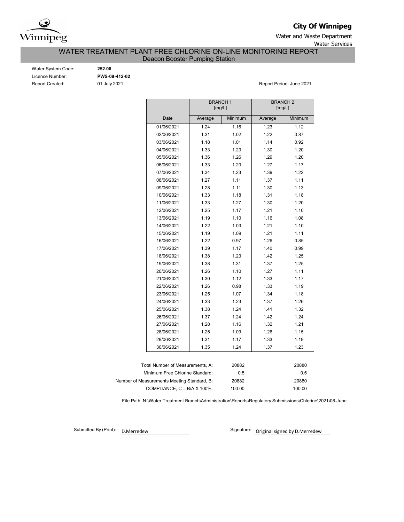

## **City Of Winnipeg**

Water and Waste Department Water Services

WATER TREATMENT PLANT FREE CHLORINE ON-LINE MONITORING REPORT

Deacon Booster Pumping Station

| Water System Code:     |
|------------------------|
| Licence Number:        |
| <b>Report Created:</b> |

Water System Code: **252.00** Licence Number: **PWS-09-412-02**

Report Created: 01 July 2021 Report Period: June 2021

|                                      |         | <b>BRANCH1</b><br>[mg/L] | <b>BRANCH 2</b><br>[mg/L] |         |
|--------------------------------------|---------|--------------------------|---------------------------|---------|
| Date                                 | Average | Minimum                  | Average                   | Minimum |
| 01/06/2021                           | 1.24    | 1.16                     | 1.23                      | 1.12    |
| 02/06/2021                           | 1.31    | 1.02                     | 1.22                      | 0.87    |
| 03/06/2021                           | 1.18    | 1.01                     | 1.14                      | 0.92    |
| 04/06/2021                           | 1.33    | 1.23                     | 1.30                      | 1.20    |
| 05/06/2021                           | 1.36    | 1.26                     | 1.29                      | 1.20    |
| 06/06/2021                           | 1.33    | 1.20                     | 1.27                      | 1.17    |
| 07/06/2021                           | 1.34    | 1.23                     | 1.39                      | 1.22    |
| 08/06/2021                           | 1.27    | 1.11                     | 1.37                      | 1.11    |
| 09/06/2021                           | 1.28    | 1.11                     | 1.30                      | 1.13    |
| 10/06/2021                           | 1.33    | 1.18                     | 1.31                      | 1.18    |
| 11/06/2021                           | 1.33    | 1.27                     | 1.30                      | 1.20    |
| 12/06/2021                           | 1.25    | 1.17                     | 1.21                      | 1.10    |
| 13/06/2021                           | 1.19    | 1.10                     | 1.16                      | 1.08    |
| 14/06/2021                           | 1.22    | 1.03                     | 1.21                      | 1.10    |
| 15/06/2021                           | 1.19    | 1.09                     | 1.21                      | 1.11    |
| 16/06/2021                           | 1.22    | 0.97                     | 1.26                      | 0.85    |
| 17/06/2021                           | 1.39    | 1.17                     | 1.40                      | 0.99    |
| 18/06/2021                           | 1.38    | 1.23                     | 1.42                      | 1.25    |
| 19/06/2021                           | 1.38    | 1.31                     | 1.37                      | 1.25    |
| 20/06/2021                           | 1.26    | 1.10                     | 1.27                      | 1.11    |
| 21/06/2021                           | 1.30    | 1.12                     | 1.33                      | 1.17    |
| 22/06/2021                           | 1.26    | 0.98                     | 1.33                      | 1.19    |
| 23/06/2021                           | 1.25    | 1.07                     | 1.34                      | 1.18    |
| 24/06/2021                           | 1.33    | 1.23                     | 1.37                      | 1.26    |
| 25/06/2021                           | 1.38    | 1.24                     | 1.41                      | 1.32    |
| 26/06/2021                           | 1.37    | 1.24                     | 1.42                      | 1.24    |
| 27/06/2021                           | 1.28    | 1.16                     | 1.32                      | 1.21    |
| 28/06/2021                           | 1.25    | 1.09                     | 1.26                      | 1.15    |
| 29/06/2021                           | 1.31    | 1.17                     | 1.33                      | 1.19    |
| 30/06/2021                           | 1.35    | 1.24                     | 1.37                      | 1.23    |
|                                      |         |                          |                           |         |
| Total Number of Measurements, A:     |         | 20882                    |                           | 20880   |
| Minimum Free Chlorine Standard:      |         | 0.5                      |                           | 0.5     |
| Measurements Meeting Standard, B:    |         | 20882                    |                           | 20880   |
| COMPLIANCE, $C = B/A \times 100\%$ : |         | 100.00                   |                           | 100.00  |

File Path: N:\Water Treatment Branch\Administration\Reports\Regulatory Submissions\Chlorine\2021\06-June

Submitted By (Print): D.Merredew

Number of

Signature: Original signed by D.Merredew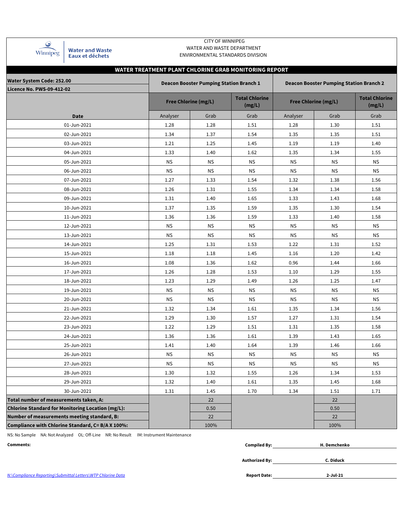| Winnipeg |
|----------|

Water and Waste<br>Eaux et déchets

### CITY OF WINNIPEG WATER AND WASTE DEPARTMENT ENVIRONMENTAL STANDARDS DIVISION

|                                                   |           |                                                | WATER TREATMENT PLANT CHLORINE GRAB MONITORING REPORT |           |                                                |                                 |  |  |  |  |
|---------------------------------------------------|-----------|------------------------------------------------|-------------------------------------------------------|-----------|------------------------------------------------|---------------------------------|--|--|--|--|
| <b>Water System Code: 252.00</b>                  |           | <b>Deacon Booster Pumping Station Branch 1</b> |                                                       |           | <b>Deacon Booster Pumping Station Branch 2</b> |                                 |  |  |  |  |
| <b>Licence No. PWS-09-412-02</b>                  |           |                                                |                                                       |           |                                                |                                 |  |  |  |  |
|                                                   |           | <b>Free Chlorine (mg/L)</b>                    | <b>Total Chlorine</b><br>(mg/L)                       |           | <b>Free Chlorine (mg/L)</b>                    | <b>Total Chlorine</b><br>(mg/L) |  |  |  |  |
| <b>Date</b>                                       | Analyser  | Grab                                           | Grab                                                  | Analyser  | Grab                                           | Grab                            |  |  |  |  |
| 01-Jun-2021                                       | 1.28      | 1.28                                           | 1.51                                                  | 1.28      | 1.30                                           | 1.51                            |  |  |  |  |
| 02-Jun-2021                                       | 1.34      | 1.37                                           | 1.54                                                  | 1.35      | 1.35                                           | 1.51                            |  |  |  |  |
| 03-Jun-2021                                       | 1.21      | 1.25                                           | 1.45                                                  | 1.19      | 1.19                                           | 1.40                            |  |  |  |  |
| 04-Jun-2021                                       | 1.33      | 1.40                                           | 1.62                                                  | 1.35      | 1.34                                           | 1.55                            |  |  |  |  |
| 05-Jun-2021                                       | <b>NS</b> | <b>NS</b>                                      | <b>NS</b>                                             | <b>NS</b> | <b>NS</b>                                      | <b>NS</b>                       |  |  |  |  |
| 06-Jun-2021                                       | <b>NS</b> | <b>NS</b>                                      | <b>NS</b>                                             | ΝS        | <b>NS</b>                                      | <b>NS</b>                       |  |  |  |  |
| 07-Jun-2021                                       | 1.27      | 1.33                                           | 1.54                                                  | 1.32      | 1.38                                           | 1.56                            |  |  |  |  |
| 08-Jun-2021                                       | 1.26      | 1.31                                           | 1.55                                                  | 1.34      | 1.34                                           | 1.58                            |  |  |  |  |
| 09-Jun-2021                                       | 1.31      | 1.40                                           | 1.65                                                  | 1.33      | 1.43                                           | 1.68                            |  |  |  |  |
| 10-Jun-2021                                       | 1.37      | 1.35                                           | 1.59                                                  | 1.35      | 1.30                                           | 1.54                            |  |  |  |  |
| 11-Jun-2021                                       | 1.36      | 1.36                                           | 1.59                                                  | 1.33      | 1.40                                           | 1.58                            |  |  |  |  |
| 12-Jun-2021                                       | <b>NS</b> | <b>NS</b>                                      | ΝS                                                    | NS.       | <b>NS</b>                                      | <b>NS</b>                       |  |  |  |  |
| 13-Jun-2021                                       | <b>NS</b> | <b>NS</b>                                      | <b>NS</b>                                             | <b>NS</b> | <b>NS</b>                                      | <b>NS</b>                       |  |  |  |  |
| 14-Jun-2021                                       | 1.25      | 1.31                                           | 1.53                                                  | 1.22      | 1.31                                           | 1.52                            |  |  |  |  |
| 15-Jun-2021                                       | 1.18      | 1.18                                           | 1.45                                                  | 1.16      | 1.20                                           | 1.42                            |  |  |  |  |
| 16-Jun-2021                                       | 1.08      | 1.36                                           | 1.62                                                  | 0.96      | 1.44                                           | 1.66                            |  |  |  |  |
| 17-Jun-2021                                       | 1.26      | 1.28                                           | 1.53                                                  | 1.10      | 1.29                                           | 1.55                            |  |  |  |  |
| 18-Jun-2021                                       | 1.23      | 1.29                                           | 1.49                                                  | 1.26      | 1.25                                           | 1.47                            |  |  |  |  |
| 19-Jun-2021                                       | <b>NS</b> | <b>NS</b>                                      | <b>NS</b>                                             | <b>NS</b> | <b>NS</b>                                      | <b>NS</b>                       |  |  |  |  |
| 20-Jun-2021                                       | <b>NS</b> | <b>NS</b>                                      | <b>NS</b>                                             | <b>NS</b> | <b>NS</b>                                      | <b>NS</b>                       |  |  |  |  |
| 21-Jun-2021                                       | 1.32      | 1.34                                           | 1.61                                                  | 1.35      | 1.34                                           | 1.56                            |  |  |  |  |
| 22-Jun-2021                                       | 1.29      | 1.30                                           | 1.57                                                  | 1.27      | 1.31                                           | 1.54                            |  |  |  |  |
| 23-Jun-2021                                       | 1.22      | 1.29                                           | 1.51                                                  | 1.31      | 1.35                                           | 1.58                            |  |  |  |  |
| 24-Jun-2021                                       | 1.36      | 1.36                                           | 1.61                                                  | 1.39      | 1.43                                           | 1.65                            |  |  |  |  |
| 25-Jun-2021                                       | 1.41      | 1.40                                           | 1.64                                                  | 1.39      | 1.46                                           | 1.66                            |  |  |  |  |
| 26-Jun-2021                                       | <b>NS</b> | <b>NS</b>                                      | ΝS                                                    | <b>NS</b> | <b>NS</b>                                      | <b>NS</b>                       |  |  |  |  |
| 27-Jun-2021                                       | ΝS        | $\mathsf{NS}\xspace$                           | ΝS                                                    | NS        | ΝS                                             | ΝS                              |  |  |  |  |
| 28-Jun-2021                                       | 1.30      | 1.32                                           | 1.55                                                  | 1.26      | 1.34                                           | 1.53                            |  |  |  |  |
| 29-Jun-2021                                       | 1.32      | 1.40                                           | 1.61                                                  | 1.35      | 1.45                                           | 1.68                            |  |  |  |  |
| 30-Jun-2021                                       | 1.31      | 1.45                                           | 1.70                                                  | 1.34      | 1.51                                           | 1.71                            |  |  |  |  |
| Total number of measurements taken, A:            |           | 22                                             |                                                       |           | 22                                             |                                 |  |  |  |  |
| Chlorine Standard for Monitoring Location (mg/L): |           | 0.50                                           |                                                       |           | 0.50                                           |                                 |  |  |  |  |
| Number of measurements meeting standard, B:       |           | 22                                             |                                                       |           | 22                                             |                                 |  |  |  |  |
| Compliance with Chlorine Standard, C= B/A X 100%: |           | 100%                                           |                                                       |           | 100%                                           |                                 |  |  |  |  |

NS: No Sample NA: Not Analyzed OL: Off-Line NR: No Result IM: Instrument Maintenance

| Comments:                                                   | <b>Compiled By:</b>   | H. Demchenko |  |
|-------------------------------------------------------------|-----------------------|--------------|--|
|                                                             |                       |              |  |
|                                                             | <b>Authorized By:</b> | C. Diduck    |  |
|                                                             |                       |              |  |
| N:\Compliance Reporting\Submittal Letters\WTP Chlorine Data | <b>Report Date:</b>   | $2$ -Jul-21  |  |

*N:\Compliance Reporting\Submittal Letters\WTP Chlorine Data*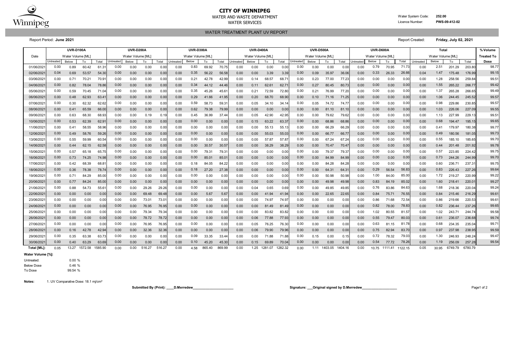|             | <b>UVR-D100A</b><br><b>UVR-D200A</b> |                  |         |                   |                  |                   |        |        | <b>UVR-D400A</b> |                   |        | <b>UVR-D500A</b> |           |                   |         |         | UVR-D600A |                   |         | <b>Total</b> |                  |                   |         | % Volume |           |                   |         |                 |                   |
|-------------|--------------------------------------|------------------|---------|-------------------|------------------|-------------------|--------|--------|------------------|-------------------|--------|------------------|-----------|-------------------|---------|---------|-----------|-------------------|---------|--------------|------------------|-------------------|---------|----------|-----------|-------------------|---------|-----------------|-------------------|
| Date        |                                      | Water Volume IML |         |                   |                  | Water Volume [ML] |        |        |                  | Water Volume [ML] |        |                  |           | Water Volume [ML] |         |         |           | Water Volume [ML] |         |              |                  | Water Volume [ML] |         |          |           | Water Volume [ML] |         |                 | <b>Treated To</b> |
|             | Untreated                            | Below            | To      | Total             | <b>Jntreated</b> | Below             | To     | Total  | Untreated        | Below             | To     | Total            | Untreated | Below             | To      | Total   | Untreated | <b>Below</b>      | To      | Total        | <b>Jntreated</b> | Below             | To      | Total    | Untreated | Below             | To      | Total           | <b>Dose</b>       |
| 01/06/202   | 0.00                                 | 0.89             | 60.42   | 61.3'             | 0.00             | 0.00              | 0.00   | 0.00   | 0.00             | 0.83              | 69.92  | 70.7             | 0.00      | 0.00              | 0.00    | 0.0     | 0.00      | 0.00              | 0.00    | 0.0          | 0.00             | 0.79              | 70.95   | 71.73    | 0.00      | 2.51              | 201.29  | 203.8           | 98.77             |
| 02/06/202   | 0.04                                 | 0.69             | 53.57   | 54.30             | 0.00             | 0.00              | 0.00   | 0.00   | 0.00             | 0.35              | 56.22  | 56.58            | 0.00      | 0.00              | 3.39    | 3.39    | 0.00      | 0.09              | 35.97   | 36.06        | 0.00             | 0.33              | 26.33   | 26.66    | 0.04      | 1.47              | 175.48  | 176.99          | 99.15             |
| 03/06/202   | 0.00                                 | 0.71             | 70.21   | 70.9 <sup>°</sup> | 0.00             | 0.00              | 0.00   | 0.00   | 0.00             | 0.21              | 42.78  | 42.99            | 0.00      | 0.14              | 68.57   | 68.7    | 0.00      | 0.23              | 77.00   | 77.2         | 0.00             | 0.00              | 0.00    | 0.00     | 0.00      | 1.28              | 258.56  | 259.84          | 99.51             |
| 04/06/202   | 0.00                                 | 0.82             | 78.04   | 78.86             | 0.00             | 0.00              | 0.00   | 0.00   | 0.00             | 0.34              | 44.12  | 44.46            | 0.00      | 0.11              | 62.61   | 62.7    | 0.00      | 0.27              | 80.45   | 80.73        | 0.00             | 0.00              | 0.00    | 0.00     | 0.00      | 1.55              | 265.22  | 266.77          | 99.42             |
| 05/06/202   | 0.00                                 | 0.59             | 70.45   | 71.04             | 0.00             | 0.00              | 0.00   | 0.00   | 0.00             | 0.35              | 45.26  | 45.6             | 0.00      | 0.21              | 72.59   | 72.8    | 0.00      | 0.21              | 76.99   | 77.2         | 0.00             | 0.00              | 0.00    | 0.00     | 0.00      | 1.37              | 265.28  | 266.65          | 99.49             |
| 06/06/202   | 0.00                                 | 0.48             | 62.93   | 63.4'             | 0.00             | 0.00              | 0.00   | 0.00   | 0.00             | 0.29              | 41.66  | 41.95            | 0.00      | 0.20              | 68.70   | 68.9    | 0.00      | 0.10              | 71.16   | 71.25        | 0.00             | 0.00              | 0.00    | 0.00     | 0.00      | 1.06              | 244.45  | 245.52          | 99.57             |
| 07/06/202   | 0.00                                 | 0.30             | 62.32   | 62.62             | 0.00             | 0.00              | 0.00   | 0.00   | 0.00             | 0.59              | 58.73  | 59.3             | 0.00      | 0.05              | 34.10   | 34.1    | 0.00      | 0.05              | 74.72   | 74.7         | 0.00             | 0.00              | 0.00    | 0.00     | 0.00      | 0.98              | 229.86  | 230.85          | 99.57             |
| 08/06/202   | 0.00                                 | 0.41             | 65.59   | 66.00             | 0.00             | 0.00              | 0.00   | 0.00   | 0.00             | 0.62              | 79.38  | 79.99            | 0.00      | 0.00              | 0.00    | 0.0(    | 0.00      | 0.00              | 81.10   | 81.1         | 0.00             | 0.00              | 0.00    | 0.00     | 0.00      | 1.03              | 226.06  | 227.09          | 99.55             |
| 09/06/202   | 0.00                                 | 0.63             | 68.30   | 68.93             | 0.00             | 0.00              | 0.19   | 0.19   | 0.00             | 0.45              | 36.99  | 37.44            | 0.00      | 0.05              | 42.90   | 42.9    | 0.00      | 0.00              | 79.62   | 79.6         | 0.00             | 0.00              | 0.00    | 0.00     | 0.00      | 1.13              | 227.99  | 229.1           | 99.51             |
| 10/06/202   | 0.00                                 | 0.53             | 62.39   | 62.9              | 0.00             | 0.00              | 0.00   | 0.00   | 0.00             | 0.00              | 0.00   | 0.00             | 0.00      | 0.15              | 63.22   | 63.3    | 0.00      | 0.00              | 68.86   | 68.86        | 0.00             | 0.00              | 0.00    | 0.00     | 0.00      | 0.68              | 194.47  | 195.15          | 99.65             |
| 11/06/202   | 0.00                                 | 0.41             | 58.55   | 58.96             | 0.00             | 0.00              | 0.00   | 0.00   | 0.00             | 0.00              | 0.00   | 0.00             | 0.00      | 0.00              | 55.13   | 55.1    | 0.00      | 0.00              | 66.29   | 66.2         | 0.00             | 0.00              | 0.00    | 0.00     | 0.00      | 0.41              | 179.97  | 180.38          | 99.77             |
| 12/06/202   | 0.00                                 | 0.49             | 58.76   | 59.26             | 0.00             | 0.00              | 0.00   | 0.00   | 0.00             | 0.00              | 0.00   | 0.00             | 0.00      | 0.00              | 55.03   | 55.0    | 0.00      | 0.00              | 66.77   | 66.7         | 0.00             | 0.00              | 0.00    | 0.00     | 0.00      | 0.49              | 180.56  | 181.0           | 99.73             |
| 13/06/202   | 0.00                                 | 0.55             | 59.99   | 60.54             | 0.00             | 0.00              | 0.00   | 0.00   | 0.00             | 0.00              | 0.00   | 0.0              | 0.00      | 0.00              | 57.87   | 57.8    | 0.00      | 0.00              | 67.24   | 67.2         | 0.00             | 0.00              | 0.00    | 0.00     | 0.00      | 0.55              | 185.10  | 185.65          | 99.70             |
| 14/06/202   | 0.00                                 | 0.44             | 62.15   | 62.58             | 0.00             | 0.00              | 0.00   | 0.00   | 0.00             | 0.00              | 30.57  | 30.57            | 0.00      | 0.00              | 38.29   | 38.29   | 0.00      | 0.00              | 70.47   | 70.4         | 0.00             | 0.00              | 0.00    | 0.00     | 0.00      | 0.44              | 201.48  | 201.92          | 99.78             |
| 15/06/202   | 0.00                                 | 0.57             | 65.18   | 65.7              | 0.00             | 0.00              | 0.00   | 0.00   | 0.00             | 0.00              | 79.31  | 79.3             | 0.00      | 0.00              | 0.00    | 0.0(    | 0.00      | 0.00              | 79.37   | 79.3         | 0.00             | 0.00              | 0.00    | 0.00     | 0.00      | 0.57              | 223.85  | 224.42          | 99.75             |
| 16/06/202   | 0.00                                 | 0.73             | 74.25   | 74.98             | 0.00             | 0.00              | 0.00   | 0.00   | 0.00             | 0.00              | 85.01  | 85.0             | 0.00      | 0.00              | 0.00    | 0.00    | 0.00      | 0.00              | 84.99   | 84.9         | 0.00             | 0.00              | 0.00    | 0.00     | 0.00      | 0.73              | 244.26  | 244.99          | 99.70             |
| 17/06/202   | 0.00                                 | 0.42             | 68.39   | $68.8^{\circ}$    | 0.00             | 0.00              | 0.00   | 0.00   | 0.00             | 0.18              | 84.05  | 84.2             | 0.00      | 0.00              | 0.00    | 0.0(    | 0.00      | 0.00              | 84.28   | 84.2         | 0.00             | 0.00              | 0.00    | 0.00     | 0.00      | 0.60              | 236.71  | 237.3'          | 99.75             |
| 18/06/202   | 0.00                                 | 0.36             | 78.38   | 78.74             | 0.00             | 0.00              | 0.00   | 0.00   | 0.00             | 0.18              | 27.20  | 27.38            | 0.00      | 0.00              | 0.00    | 0.0(    | 0.00      | 0.00              | 64.31   | 64.3         | 0.00             | 0.29              | 56.54   | 56.83    | 0.00      | 0.83              | 226.43  | 227.26          | 99.64             |
| 19/06/202   | 0.00                                 | 0.71             | 84.29   | 85.0              | 0.00             | 0.00              | 0.00   | 0.00   | 0.00             | 0.00              | 0.00   | 0.00             | 0.00      | 0.00              | 0.00    | 0.0(    | 0.00      | 0.00              | 50.98   | 50.9         | 0.00             | 1.00              | 84.00   | 85.00    | 0.00      | 1.72              | 219.27  | 220.99          | 99.22             |
| 20/06/202   | 0.00                                 | 0.77             | 84.24   | 85.0              | 0.00             | 0.00              | 0.00   | 0.00   | 0.00             | 0.00              | 0.00   | 0.00             | 0.00      | 0.00              | 0.00    | 0.0(    | 0.00      | 0.00              | 49.98   | 49.98        | 0.00             | 0.83              | 84.19   | 85.02    | 0.00      | 1.60              | 218.41  | $220.0^{\circ}$ | 99.27             |
| 21/06/202   | 0.00                                 | 0.88             | 54.73   | 55.6'             | 0.00             | 0.00              | 29.26  | 29.26  | 0.00             | 0.00              | 0.00   | 0.00             | 0.00      | 0.04              | 0.65    | 0.69    | 0.00      | 0.00              | 49.85   | 49.85        | 0.00             | 0.76              | 83.86   | 84.63    | 0.00      | 1.68              | 218.36  | 220.04          | 99.24             |
| 22/06/202   | 0.00                                 | 0.00             | 0.00    | 0.00              | 0.00             | 0.00              | 69.48  | 69.48  | 0.00             | 0.00              | 5.67   | 5.6              | 0.00      | 0.00              | 41.94   | 41.94   | 0.00      | 0.00              | 22.65   | 22.6         | 0.00             | 0.84              | 75.71   | 76.55    | 0.00      | 0.84              | 215.46  | 216.29          | 99.61             |
| 23/06/202   | 0.00                                 | 0.00             | 0.00    | 0.00              | 0.00             | 0.00              | 73.01  | 73.0   | 0.00             | 0.00              | 0.00   | 0.00             | 0.00      | 0.00              | 74.97   | 74.9    | 0.00      | 0.00              | 0.00    | 0.0          | 0.00             | 0.86              | 71.68   | 72.54    | 0.00      | 0.86              | 219.66  | 220.53          | 99.61             |
| 24/06/202   | 0.00                                 | 0.00             | 0.00    | 0.00              | 0.00             | 0.00              | 76.95  | 76.95  | 0.00             | 0.00              | 0.00   | 0.00             | 0.00      | 0.00              | 81.49   | 81.49   | 0.00      | 0.00              | 0.00    | 0.00         | 0.00             | 0.82              | 78.00   | 78.83    | 0.00      | 0.82              | 236.44  | 237.26          | 99.65             |
| 25/06/202   | 0.00                                 | 0.00             | 0.00    | 0.00              | 0.00             | 0.00              | 79.34  | 79.34  | 0.00             | 0.00              | 0.00   | 0.00             | 0.00      | 0.00              | 83.82   | 83.8    | 0.00      | 0.00              | 0.00    | 0.00         | 0.00             | 1.02              | 80.55   | 81.57    | 0.00      | 1.02              | 243.71  | 244.74          | 99.58             |
| 26/06/202   | 0.00                                 | 0.00             | 0.00    | 0.00              | 0.00             | 0.00              | 78.72  | 78.72  | 0.00             | 0.00              | 0.00   | 0.00             | 0.00      | 0.06              | 77.88   | 77.93   | 0.00      | 0.00              | 0.00    | 0.00         | 0.00             | 0.55              | 79.47   | 80.03    | 0.00      | 0.61              | 236.07  | 236.68          | 99.74             |
| 27/06/202   | 0.00                                 | 0.00             | 0.00    | 0.0(              | 0.00             | 0.00              | 76.95  | 76.9   | 0.00             | 0.00              | 0.00   | 0.0              | 0.00      | 0.05              | 76.25   | 76.3    | 0.00      | 0.00              | 0.00    | 0.0          | 0.00             | 0.63              | 81.15   | 81.78    | 0.00      | 0.68              | 234.35  | 235.04          | 99.71             |
| 28/06/202   | 0.00                                 | 0.16             | 42.78   | 42.94             | 0.00             | 0.00              | 32.36  | 32.36  | 0.00             | 0.00              | 0.00   | 0.00             | 0.00      | 0.06              | 79.90   | 79.9    | 0.00      | 0.00              | 0.00    | 0.0(         | 0.00             | 0.75              | 82.94   | 83.70    | 0.00      | 0.97              | 237.98  | 238.95          | 99.59             |
| 29/06/202   | 0.00                                 | 0.35             | 63.38   | 63.73             | 0.00             | 0.00              | 0.00   | 0.00   | 0.00             | 0.09              | 33.35  | 33.44            | 0.00      | 0.00              | 71.88   | 71.88   | 0.00      | 0.15              | 0.00    | 0.15         | 0.00             | 0.72              | 78.32   | 79.03    | 0.00      | 1.30              | 246.93  | 248.24          | 99.47             |
| 30/06/202   | 0.00                                 | 0.40             | 63.29   | 63.69             | 0.00             | 0.00              | 0.00   | 0.00   | 0.00             | 0.10              | 45.20  | 45.30            | 0.00      | 0.15              | 69.89   | 70.0    | 0.00      | 0.00              | 0.00    | 0.00         | 0.00             | 0.54              | 77.72   | 78.26    | 0.00      | 1.19              | 256.09  | 257.28          | 99.54             |
| Total [ML]: | 0.05                                 | 13.27            | 1572.58 | 1585.90           | 0.00             | 0.00              | 516.27 | 516.27 | 0.00             | 4.58              | 865.40 | 869.99           | 0.00      | 1.25              | 1281.07 | 1282.32 | 0.00      | 1.11              | 1403.05 | 1404.16      | 0.00             | 10 75             | 1111.41 | 1122.15  | 0.05      | 30.95             | 6749.79 | 6780.79         |                   |

Untreated: 0.00 % Below Dose 0.46 % To Dose 99.54 % WATER TREATMENT PLANT UV REPORT

Report Period: **June 2021** Report Created: **Friday, July 02, 2021**



## **CITY OF WINNIPEG**

WATER AND WASTE DEPARTMENT<br>WATER SERVICES **WATER SERVICES** WATER SERVICES

WATER SERVICES **Licence Number: PWS-09-412-02-412-02-412-02-412-02-412-02-412-02-412-02-412-02-412-02-412-02-42-02-42-02-42-02-42-02-42-02-42-02-42-02-42-02-42-02-42-02-42-02-42-02-42-02-42-02-42-02-42-02-42-02-42-02-42-**

**Notes:** 1. UV Comparative Dose: 18.1 mj/cm²

**Water Volume [%]:**

**Submitted By (Print): \_\_\_\_D.Merredew\_\_\_\_\_\_\_\_\_\_\_\_\_\_\_\_\_\_\_\_\_\_ Signature: \_\_\_Original signed by D.Merredew\_\_\_\_\_\_\_\_\_\_\_\_\_\_\_\_\_\_\_** Page1 of 2